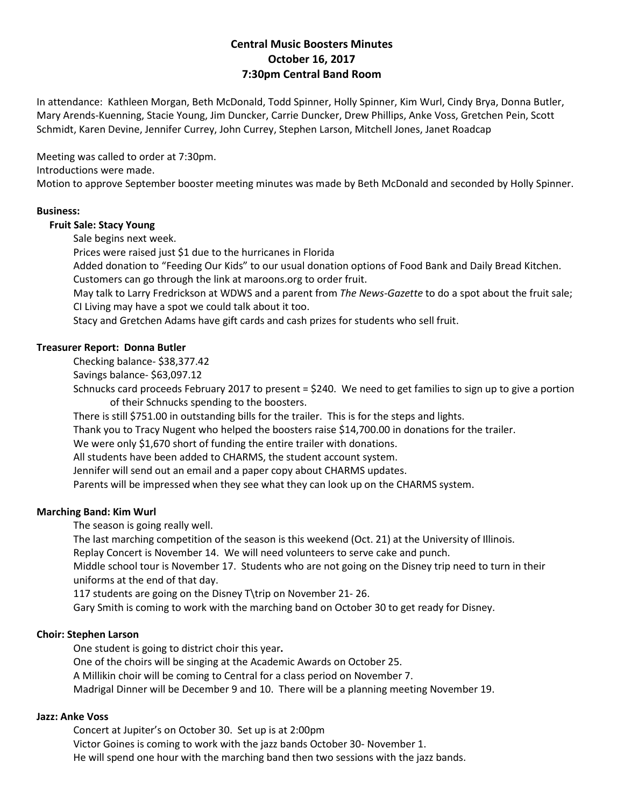# **Central Music Boosters Minutes October 16, 2017 7:30pm Central Band Room**

In attendance: Kathleen Morgan, Beth McDonald, Todd Spinner, Holly Spinner, Kim Wurl, Cindy Brya, Donna Butler, Mary Arends-Kuenning, Stacie Young, Jim Duncker, Carrie Duncker, Drew Phillips, Anke Voss, Gretchen Pein, Scott Schmidt, Karen Devine, Jennifer Currey, John Currey, Stephen Larson, Mitchell Jones, Janet Roadcap

Meeting was called to order at 7:30pm.

Introductions were made.

Motion to approve September booster meeting minutes was made by Beth McDonald and seconded by Holly Spinner.

### **Business:**

### **Fruit Sale: Stacy Young**

Sale begins next week.

Prices were raised just \$1 due to the hurricanes in Florida

Added donation to "Feeding Our Kids" to our usual donation options of Food Bank and Daily Bread Kitchen. Customers can go through the link at maroons.org to order fruit.

May talk to Larry Fredrickson at WDWS and a parent from *The News-Gazette* to do a spot about the fruit sale; CI Living may have a spot we could talk about it too.

Stacy and Gretchen Adams have gift cards and cash prizes for students who sell fruit.

### **Treasurer Report: Donna Butler**

Checking balance- \$38,377.42

Savings balance- \$63,097.12

Schnucks card proceeds February 2017 to present = \$240. We need to get families to sign up to give a portion of their Schnucks spending to the boosters.

There is still \$751.00 in outstanding bills for the trailer. This is for the steps and lights.

Thank you to Tracy Nugent who helped the boosters raise \$14,700.00 in donations for the trailer.

We were only \$1,670 short of funding the entire trailer with donations.

All students have been added to CHARMS, the student account system.

Jennifer will send out an email and a paper copy about CHARMS updates.

Parents will be impressed when they see what they can look up on the CHARMS system.

### **Marching Band: Kim Wurl**

The season is going really well.

The last marching competition of the season is this weekend (Oct. 21) at the University of Illinois.

Replay Concert is November 14. We will need volunteers to serve cake and punch.

Middle school tour is November 17. Students who are not going on the Disney trip need to turn in their uniforms at the end of that day.

117 students are going on the Disney T\trip on November 21- 26.

Gary Smith is coming to work with the marching band on October 30 to get ready for Disney.

#### **Choir: Stephen Larson**

One student is going to district choir this year**.**

One of the choirs will be singing at the Academic Awards on October 25.

A Millikin choir will be coming to Central for a class period on November 7.

Madrigal Dinner will be December 9 and 10. There will be a planning meeting November 19.

#### **Jazz: Anke Voss**

Concert at Jupiter's on October 30. Set up is at 2:00pm Victor Goines is coming to work with the jazz bands October 30- November 1. He will spend one hour with the marching band then two sessions with the jazz bands.